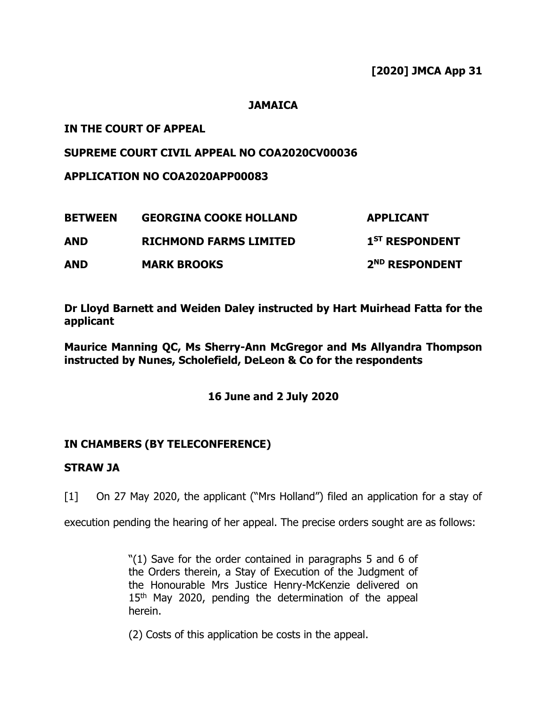## **JAMAICA**

# **IN THE COURT OF APPEAL**

# **SUPREME COURT CIVIL APPEAL NO COA2020CV00036**

**APPLICATION NO COA2020APP00083**

| <b>BETWEEN</b> | <b>GEORGINA COOKE HOLLAND</b> | <b>APPLICANT</b>           |
|----------------|-------------------------------|----------------------------|
| AND            | <b>RICHMOND FARMS LIMITED</b> | 1 <sup>ST</sup> RESPONDENT |
| AND            | <b>MARK BROOKS</b>            | 2 <sup>ND</sup> RESPONDENT |

**Dr Lloyd Barnett and Weiden Daley instructed by Hart Muirhead Fatta for the applicant** 

**Maurice Manning QC, Ms Sherry-Ann McGregor and Ms Allyandra Thompson instructed by Nunes, Scholefield, DeLeon & Co for the respondents**

**16 June and 2 July 2020** 

# **IN CHAMBERS (BY TELECONFERENCE)**

## **STRAW JA**

[1] On 27 May 2020, the applicant ("Mrs Holland") filed an application for a stay of

execution pending the hearing of her appeal. The precise orders sought are as follows:

"(1) Save for the order contained in paragraphs 5 and 6 of the Orders therein, a Stay of Execution of the Judgment of the Honourable Mrs Justice Henry-McKenzie delivered on 15<sup>th</sup> May 2020, pending the determination of the appeal herein.

(2) Costs of this application be costs in the appeal.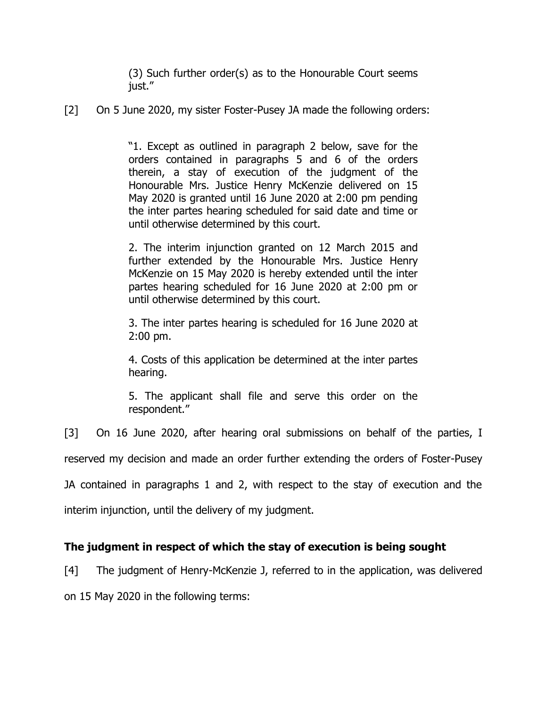(3) Such further order(s) as to the Honourable Court seems just."

[2] On 5 June 2020, my sister Foster-Pusey JA made the following orders:

"1. Except as outlined in paragraph 2 below, save for the orders contained in paragraphs 5 and 6 of the orders therein, a stay of execution of the judgment of the Honourable Mrs. Justice Henry McKenzie delivered on 15 May 2020 is granted until 16 June 2020 at 2:00 pm pending the inter partes hearing scheduled for said date and time or until otherwise determined by this court.

2. The interim injunction granted on 12 March 2015 and further extended by the Honourable Mrs. Justice Henry McKenzie on 15 May 2020 is hereby extended until the inter partes hearing scheduled for 16 June 2020 at 2:00 pm or until otherwise determined by this court.

3. The inter partes hearing is scheduled for 16 June 2020 at 2:00 pm.

4. Costs of this application be determined at the inter partes hearing.

5. The applicant shall file and serve this order on the respondent."

[3] On 16 June 2020, after hearing oral submissions on behalf of the parties, I

reserved my decision and made an order further extending the orders of Foster-Pusey

JA contained in paragraphs 1 and 2, with respect to the stay of execution and the

interim injunction, until the delivery of my judgment.

# **The judgment in respect of which the stay of execution is being sought**

[4] The judgment of Henry-McKenzie J, referred to in the application, was delivered

on 15 May 2020 in the following terms: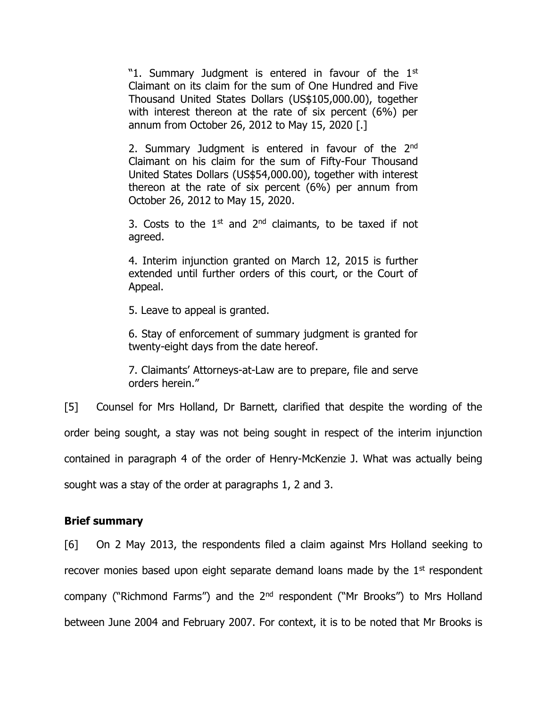"1. Summary Judgment is entered in favour of the  $1<sup>st</sup>$ Claimant on its claim for the sum of One Hundred and Five Thousand United States Dollars (US\$105,000.00), together with interest thereon at the rate of six percent (6%) per annum from October 26, 2012 to May 15, 2020 [.]

2. Summary Judgment is entered in favour of the 2<sup>nd</sup> Claimant on his claim for the sum of Fifty-Four Thousand United States Dollars (US\$54,000.00), together with interest thereon at the rate of six percent (6%) per annum from October 26, 2012 to May 15, 2020.

3. Costs to the  $1<sup>st</sup>$  and  $2<sup>nd</sup>$  claimants, to be taxed if not agreed.

4. Interim injunction granted on March 12, 2015 is further extended until further orders of this court, or the Court of Appeal.

5. Leave to appeal is granted.

6. Stay of enforcement of summary judgment is granted for twenty-eight days from the date hereof.

7. Claimants' Attorneys-at-Law are to prepare, file and serve orders herein."

[5] Counsel for Mrs Holland, Dr Barnett, clarified that despite the wording of the order being sought, a stay was not being sought in respect of the interim injunction contained in paragraph 4 of the order of Henry-McKenzie J. What was actually being sought was a stay of the order at paragraphs 1, 2 and 3.

## **Brief summary**

[6] On 2 May 2013, the respondents filed a claim against Mrs Holland seeking to recover monies based upon eight separate demand loans made by the  $1<sup>st</sup>$  respondent company ("Richmond Farms") and the 2<sup>nd</sup> respondent ("Mr Brooks") to Mrs Holland between June 2004 and February 2007. For context, it is to be noted that Mr Brooks is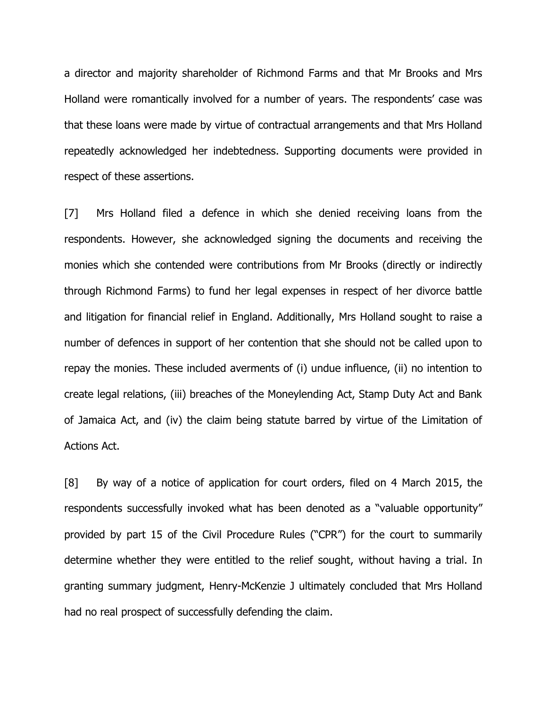a director and majority shareholder of Richmond Farms and that Mr Brooks and Mrs Holland were romantically involved for a number of years. The respondents' case was that these loans were made by virtue of contractual arrangements and that Mrs Holland repeatedly acknowledged her indebtedness. Supporting documents were provided in respect of these assertions.

[7] Mrs Holland filed a defence in which she denied receiving loans from the respondents. However, she acknowledged signing the documents and receiving the monies which she contended were contributions from Mr Brooks (directly or indirectly through Richmond Farms) to fund her legal expenses in respect of her divorce battle and litigation for financial relief in England. Additionally, Mrs Holland sought to raise a number of defences in support of her contention that she should not be called upon to repay the monies. These included averments of (i) undue influence, (ii) no intention to create legal relations, (iii) breaches of the Moneylending Act, Stamp Duty Act and Bank of Jamaica Act, and (iv) the claim being statute barred by virtue of the Limitation of Actions Act.

[8] By way of a notice of application for court orders, filed on 4 March 2015, the respondents successfully invoked what has been denoted as a "valuable opportunity" provided by part 15 of the Civil Procedure Rules ("CPR") for the court to summarily determine whether they were entitled to the relief sought, without having a trial. In granting summary judgment, Henry-McKenzie J ultimately concluded that Mrs Holland had no real prospect of successfully defending the claim.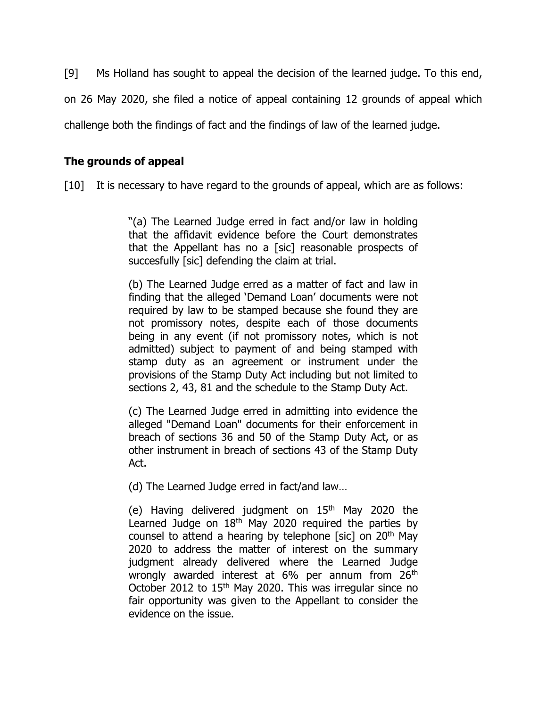[9] Ms Holland has sought to appeal the decision of the learned judge. To this end,

on 26 May 2020, she filed a notice of appeal containing 12 grounds of appeal which

challenge both the findings of fact and the findings of law of the learned judge.

## **The grounds of appeal**

[10] It is necessary to have regard to the grounds of appeal, which are as follows:

"(a) The Learned Judge erred in fact and/or law in holding that the affidavit evidence before the Court demonstrates that the Appellant has no a [sic] reasonable prospects of succesfully [sic] defending the claim at trial.

(b) The Learned Judge erred as a matter of fact and law in finding that the alleged 'Demand Loan' documents were not required by law to be stamped because she found they are not promissory notes, despite each of those documents being in any event (if not promissory notes, which is not admitted) subject to payment of and being stamped with stamp duty as an agreement or instrument under the provisions of the Stamp Duty Act including but not limited to sections 2, 43, 81 and the schedule to the Stamp Duty Act.

(c) The Learned Judge erred in admitting into evidence the alleged "Demand Loan" documents for their enforcement in breach of sections 36 and 50 of the Stamp Duty Act, or as other instrument in breach of sections 43 of the Stamp Duty Act.

(d) The Learned Judge erred in fact/and law…

(e) Having delivered judgment on  $15<sup>th</sup>$  May 2020 the Learned Judge on 18<sup>th</sup> May 2020 required the parties by counsel to attend a hearing by telephone [sic] on  $20<sup>th</sup>$  May 2020 to address the matter of interest on the summary judgment already delivered where the Learned Judge wrongly awarded interest at 6% per annum from 26<sup>th</sup> October 2012 to 15<sup>th</sup> May 2020. This was irregular since no fair opportunity was given to the Appellant to consider the evidence on the issue.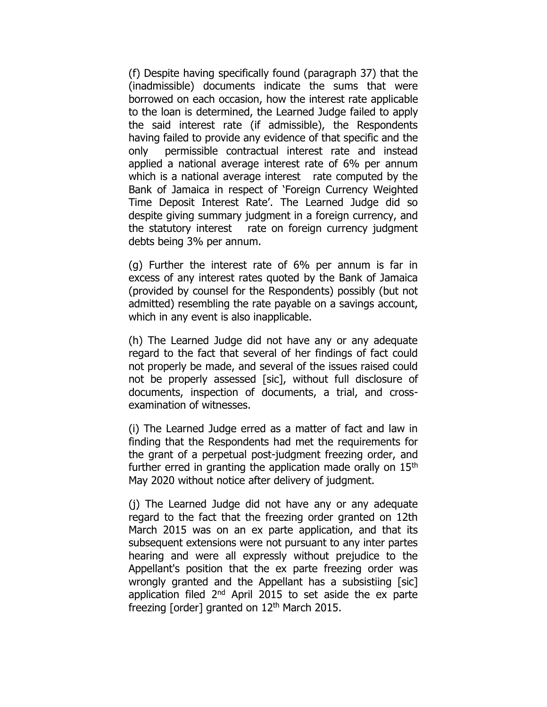(f) Despite having specifically found (paragraph 37) that the (inadmissible) documents indicate the sums that were borrowed on each occasion, how the interest rate applicable to the loan is determined, the Learned Judge failed to apply the said interest rate (if admissible), the Respondents having failed to provide any evidence of that specific and the only permissible contractual interest rate and instead applied a national average interest rate of 6% per annum which is a national average interest rate computed by the Bank of Jamaica in respect of 'Foreign Currency Weighted Time Deposit Interest Rate'. The Learned Judge did so despite giving summary judgment in a foreign currency, and the statutory interest rate on foreign currency judgment debts being 3% per annum.

(g) Further the interest rate of 6% per annum is far in excess of any interest rates quoted by the Bank of Jamaica (provided by counsel for the Respondents) possibly (but not admitted) resembling the rate payable on a savings account, which in any event is also inapplicable.

(h) The Learned Judge did not have any or any adequate regard to the fact that several of her findings of fact could not properly be made, and several of the issues raised could not be properly assessed [sic], without full disclosure of documents, inspection of documents, a trial, and crossexamination of witnesses.

(i) The Learned Judge erred as a matter of fact and law in finding that the Respondents had met the requirements for the grant of a perpetual post-judgment freezing order, and further erred in granting the application made orally on  $15<sup>th</sup>$ May 2020 without notice after delivery of judgment.

(j) The Learned Judge did not have any or any adequate regard to the fact that the freezing order granted on 12th March 2015 was on an ex parte application, and that its subsequent extensions were not pursuant to any inter partes hearing and were all expressly without prejudice to the Appellant's position that the ex parte freezing order was wrongly granted and the Appellant has a subsistiing [sic] application filed 2<sup>nd</sup> April 2015 to set aside the ex parte freezing [order] granted on  $12<sup>th</sup>$  March 2015.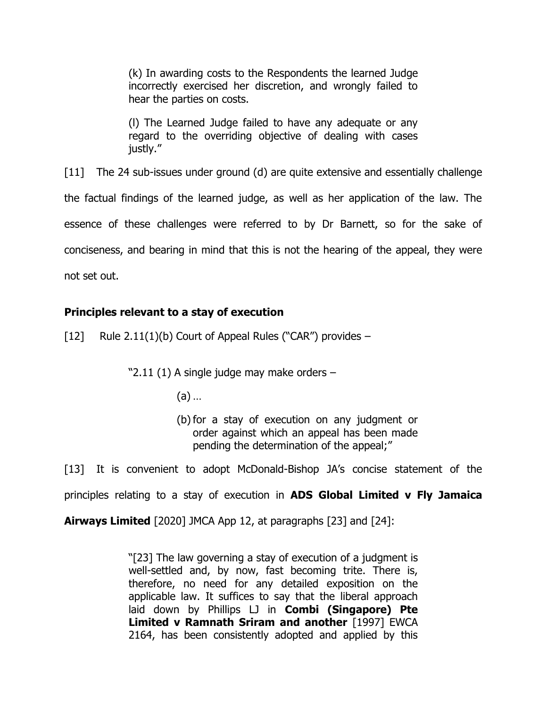(k) In awarding costs to the Respondents the learned Judge incorrectly exercised her discretion, and wrongly failed to hear the parties on costs.

(l) The Learned Judge failed to have any adequate or any regard to the overriding objective of dealing with cases justly."

[11] The 24 sub-issues under ground (d) are quite extensive and essentially challenge

the factual findings of the learned judge, as well as her application of the law. The

essence of these challenges were referred to by Dr Barnett, so for the sake of

conciseness, and bearing in mind that this is not the hearing of the appeal, they were

not set out.

## **Principles relevant to a stay of execution**

 $[12]$  Rule 2.11(1)(b) Court of Appeal Rules ("CAR") provides –

"2.11 (1) A single judge may make orders –

- (a) …
- (b)for a stay of execution on any judgment or order against which an appeal has been made pending the determination of the appeal;"

[13] It is convenient to adopt McDonald-Bishop JA's concise statement of the principles relating to a stay of execution in **ADS Global Limited v Fly Jamaica** 

**Airways Limited** [2020] JMCA App 12, at paragraphs [23] and [24]:

"[23] The law governing a stay of execution of a judgment is well-settled and, by now, fast becoming trite. There is, therefore, no need for any detailed exposition on the applicable law. It suffices to say that the liberal approach laid down by Phillips LJ in **Combi (Singapore) Pte Limited v Ramnath Sriram and another** [1997] EWCA 2164, has been consistently adopted and applied by this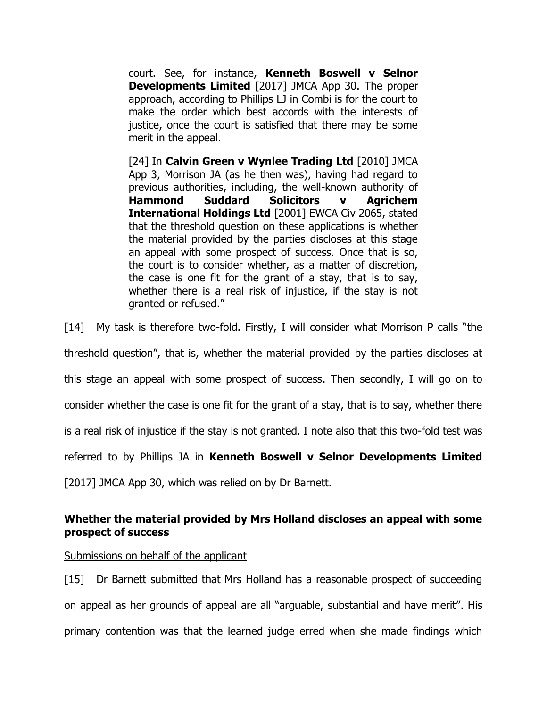court. See, for instance, **Kenneth Boswell v Selnor Developments Limited** [2017] JMCA App 30. The proper approach, according to Phillips LJ in Combi is for the court to make the order which best accords with the interests of justice, once the court is satisfied that there may be some merit in the appeal.

[24] In **Calvin Green v Wynlee Trading Ltd** [2010] JMCA App 3, Morrison JA (as he then was), having had regard to previous authorities, including, the well-known authority of **Hammond Suddard Solicitors v Agrichem International Holdings Ltd** [2001] EWCA Civ 2065, stated that the threshold question on these applications is whether the material provided by the parties discloses at this stage an appeal with some prospect of success. Once that is so, the court is to consider whether, as a matter of discretion, the case is one fit for the grant of a stay, that is to say, whether there is a real risk of injustice, if the stay is not granted or refused."

[14] My task is therefore two-fold. Firstly, I will consider what Morrison P calls "the

threshold question", that is, whether the material provided by the parties discloses at

this stage an appeal with some prospect of success. Then secondly, I will go on to

consider whether the case is one fit for the grant of a stay, that is to say, whether there

is a real risk of injustice if the stay is not granted. I note also that this two-fold test was

referred to by Phillips JA in **Kenneth Boswell v Selnor Developments Limited** 

[2017] JMCA App 30, which was relied on by Dr Barnett.

## **Whether the material provided by Mrs Holland discloses an appeal with some prospect of success**

Submissions on behalf of the applicant

[15] Dr Barnett submitted that Mrs Holland has a reasonable prospect of succeeding on appeal as her grounds of appeal are all "arguable, substantial and have merit". His primary contention was that the learned judge erred when she made findings which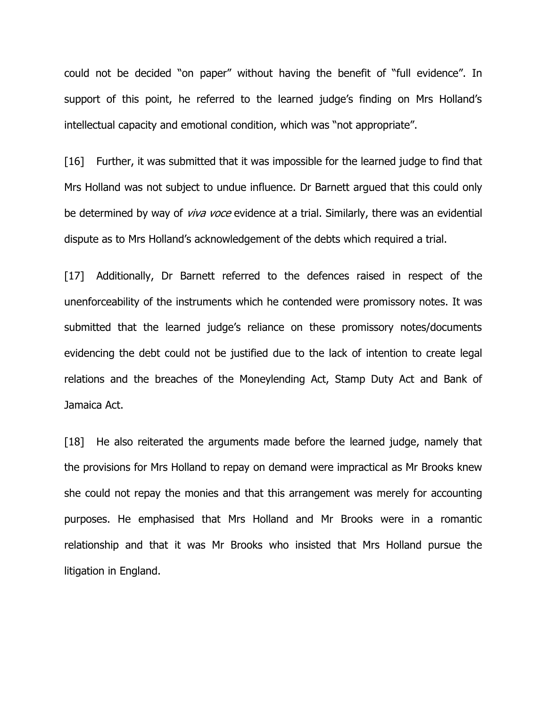could not be decided "on paper" without having the benefit of "full evidence". In support of this point, he referred to the learned judge's finding on Mrs Holland's intellectual capacity and emotional condition, which was "not appropriate".

[16] Further, it was submitted that it was impossible for the learned judge to find that Mrs Holland was not subject to undue influence. Dr Barnett argued that this could only be determined by way of *viva voce* evidence at a trial. Similarly, there was an evidential dispute as to Mrs Holland's acknowledgement of the debts which required a trial.

[17] Additionally, Dr Barnett referred to the defences raised in respect of the unenforceability of the instruments which he contended were promissory notes. It was submitted that the learned judge's reliance on these promissory notes/documents evidencing the debt could not be justified due to the lack of intention to create legal relations and the breaches of the Moneylending Act, Stamp Duty Act and Bank of Jamaica Act.

[18] He also reiterated the arguments made before the learned judge, namely that the provisions for Mrs Holland to repay on demand were impractical as Mr Brooks knew she could not repay the monies and that this arrangement was merely for accounting purposes. He emphasised that Mrs Holland and Mr Brooks were in a romantic relationship and that it was Mr Brooks who insisted that Mrs Holland pursue the litigation in England.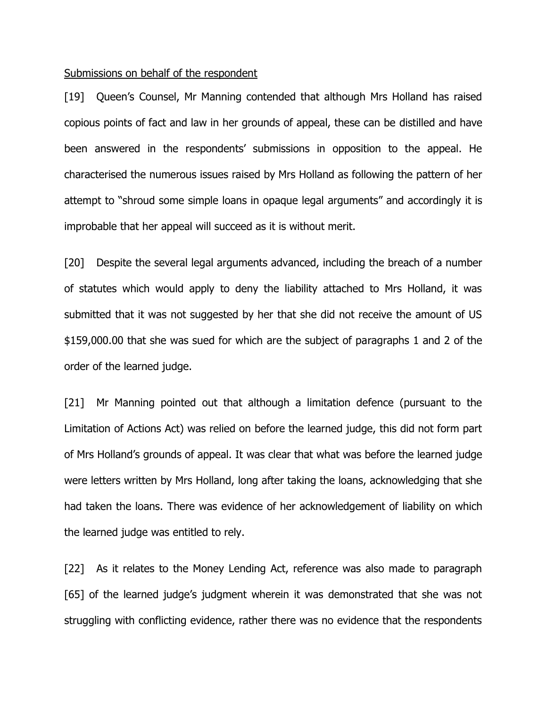#### Submissions on behalf of the respondent

[19] Queen's Counsel, Mr Manning contended that although Mrs Holland has raised copious points of fact and law in her grounds of appeal, these can be distilled and have been answered in the respondents' submissions in opposition to the appeal. He characterised the numerous issues raised by Mrs Holland as following the pattern of her attempt to "shroud some simple loans in opaque legal arguments" and accordingly it is improbable that her appeal will succeed as it is without merit.

[20] Despite the several legal arguments advanced, including the breach of a number of statutes which would apply to deny the liability attached to Mrs Holland, it was submitted that it was not suggested by her that she did not receive the amount of US \$159,000.00 that she was sued for which are the subject of paragraphs 1 and 2 of the order of the learned judge.

[21] Mr Manning pointed out that although a limitation defence (pursuant to the Limitation of Actions Act) was relied on before the learned judge, this did not form part of Mrs Holland's grounds of appeal. It was clear that what was before the learned judge were letters written by Mrs Holland, long after taking the loans, acknowledging that she had taken the loans. There was evidence of her acknowledgement of liability on which the learned judge was entitled to rely.

[22] As it relates to the Money Lending Act, reference was also made to paragraph [65] of the learned judge's judgment wherein it was demonstrated that she was not struggling with conflicting evidence, rather there was no evidence that the respondents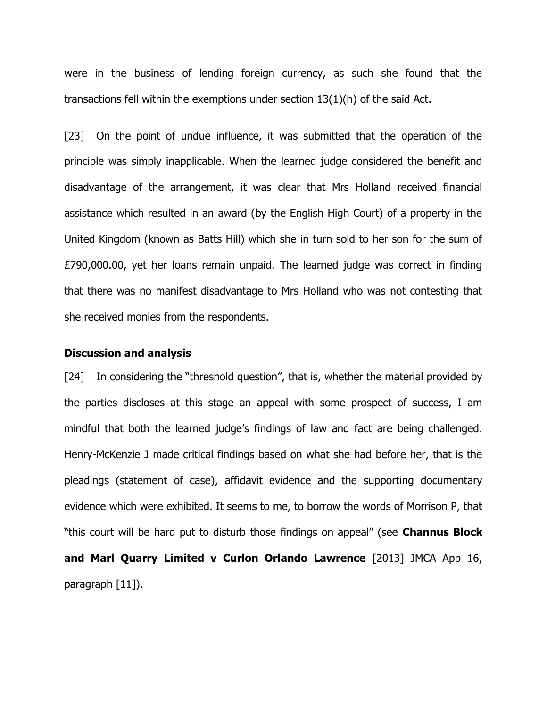were in the business of lending foreign currency, as such she found that the transactions fell within the exemptions under section 13(1)(h) of the said Act.

[23] On the point of undue influence, it was submitted that the operation of the principle was simply inapplicable. When the learned judge considered the benefit and disadvantage of the arrangement, it was clear that Mrs Holland received financial assistance which resulted in an award (by the English High Court) of a property in the United Kingdom (known as Batts Hill) which she in turn sold to her son for the sum of £790,000.00, yet her loans remain unpaid. The learned judge was correct in finding that there was no manifest disadvantage to Mrs Holland who was not contesting that she received monies from the respondents.

#### **Discussion and analysis**

[24] In considering the "threshold question", that is, whether the material provided by the parties discloses at this stage an appeal with some prospect of success, I am mindful that both the learned judge's findings of law and fact are being challenged. Henry-McKenzie J made critical findings based on what she had before her, that is the pleadings (statement of case), affidavit evidence and the supporting documentary evidence which were exhibited. It seems to me, to borrow the words of Morrison P, that "this court will be hard put to disturb those findings on appeal" (see **Channus Block and Marl Quarry Limited v Curlon Orlando Lawrence** [2013] JMCA App 16, paragraph [11]).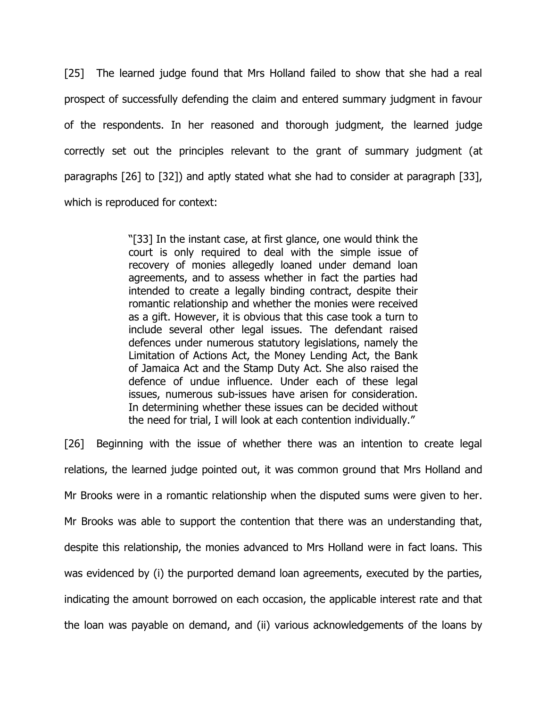[25] The learned judge found that Mrs Holland failed to show that she had a real prospect of successfully defending the claim and entered summary judgment in favour of the respondents. In her reasoned and thorough judgment, the learned judge correctly set out the principles relevant to the grant of summary judgment (at paragraphs [26] to [32]) and aptly stated what she had to consider at paragraph [33], which is reproduced for context:

> "[33] In the instant case, at first glance, one would think the court is only required to deal with the simple issue of recovery of monies allegedly loaned under demand loan agreements, and to assess whether in fact the parties had intended to create a legally binding contract, despite their romantic relationship and whether the monies were received as a gift. However, it is obvious that this case took a turn to include several other legal issues. The defendant raised defences under numerous statutory legislations, namely the Limitation of Actions Act, the Money Lending Act, the Bank of Jamaica Act and the Stamp Duty Act. She also raised the defence of undue influence. Under each of these legal issues, numerous sub-issues have arisen for consideration. In determining whether these issues can be decided without the need for trial, I will look at each contention individually."

[26] Beginning with the issue of whether there was an intention to create legal relations, the learned judge pointed out, it was common ground that Mrs Holland and Mr Brooks were in a romantic relationship when the disputed sums were given to her. Mr Brooks was able to support the contention that there was an understanding that, despite this relationship, the monies advanced to Mrs Holland were in fact loans. This was evidenced by (i) the purported demand loan agreements, executed by the parties, indicating the amount borrowed on each occasion, the applicable interest rate and that the loan was payable on demand, and (ii) various acknowledgements of the loans by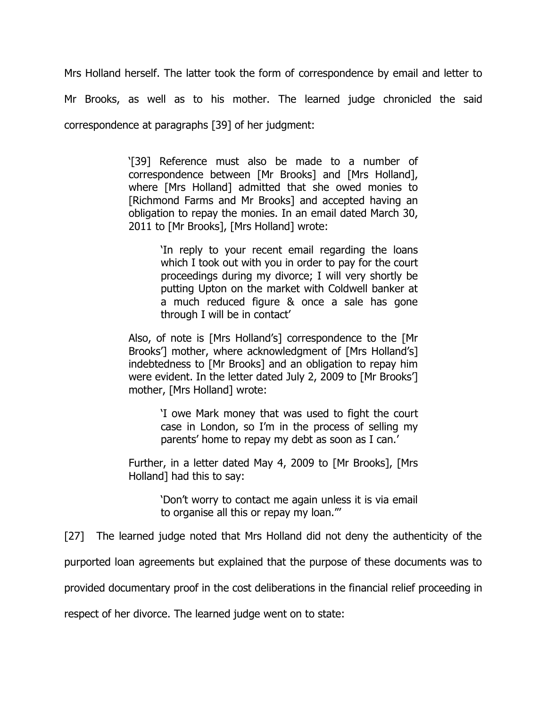Mrs Holland herself. The latter took the form of correspondence by email and letter to Mr Brooks, as well as to his mother. The learned judge chronicled the said correspondence at paragraphs [39] of her judgment:

> '[39] Reference must also be made to a number of correspondence between [Mr Brooks] and [Mrs Holland], where [Mrs Holland] admitted that she owed monies to [Richmond Farms and Mr Brooks] and accepted having an obligation to repay the monies. In an email dated March 30, 2011 to [Mr Brooks], [Mrs Holland] wrote:

> > 'In reply to your recent email regarding the loans which I took out with you in order to pay for the court proceedings during my divorce; I will very shortly be putting Upton on the market with Coldwell banker at a much reduced figure & once a sale has gone through I will be in contact'

Also, of note is [Mrs Holland's] correspondence to the [Mr Brooks'] mother, where acknowledgment of [Mrs Holland's] indebtedness to [Mr Brooks] and an obligation to repay him were evident. In the letter dated July 2, 2009 to [Mr Brooks'] mother, [Mrs Holland] wrote:

> 'I owe Mark money that was used to fight the court case in London, so I'm in the process of selling my parents' home to repay my debt as soon as I can.'

Further, in a letter dated May 4, 2009 to [Mr Brooks], [Mrs Holland] had this to say:

> 'Don't worry to contact me again unless it is via email to organise all this or repay my loan."'

[27] The learned judge noted that Mrs Holland did not deny the authenticity of the

purported loan agreements but explained that the purpose of these documents was to

provided documentary proof in the cost deliberations in the financial relief proceeding in

respect of her divorce. The learned judge went on to state: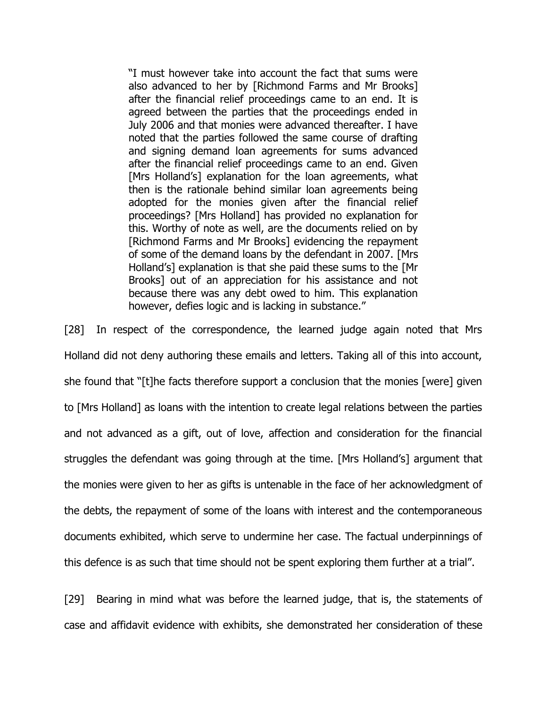"I must however take into account the fact that sums were also advanced to her by [Richmond Farms and Mr Brooks] after the financial relief proceedings came to an end. It is agreed between the parties that the proceedings ended in July 2006 and that monies were advanced thereafter. I have noted that the parties followed the same course of drafting and signing demand loan agreements for sums advanced after the financial relief proceedings came to an end. Given [Mrs Holland's] explanation for the loan agreements, what then is the rationale behind similar loan agreements being adopted for the monies given after the financial relief proceedings? [Mrs Holland] has provided no explanation for this. Worthy of note as well, are the documents relied on by [Richmond Farms and Mr Brooks] evidencing the repayment of some of the demand loans by the defendant in 2007. [Mrs Holland's] explanation is that she paid these sums to the [Mr Brooks] out of an appreciation for his assistance and not because there was any debt owed to him. This explanation however, defies logic and is lacking in substance."

[28] In respect of the correspondence, the learned judge again noted that Mrs Holland did not deny authoring these emails and letters. Taking all of this into account, she found that "[t]he facts therefore support a conclusion that the monies [were] given to [Mrs Holland] as loans with the intention to create legal relations between the parties and not advanced as a gift, out of love, affection and consideration for the financial struggles the defendant was going through at the time. [Mrs Holland's] argument that the monies were given to her as gifts is untenable in the face of her acknowledgment of the debts, the repayment of some of the loans with interest and the contemporaneous documents exhibited, which serve to undermine her case. The factual underpinnings of this defence is as such that time should not be spent exploring them further at a trial".

[29] Bearing in mind what was before the learned judge, that is, the statements of case and affidavit evidence with exhibits, she demonstrated her consideration of these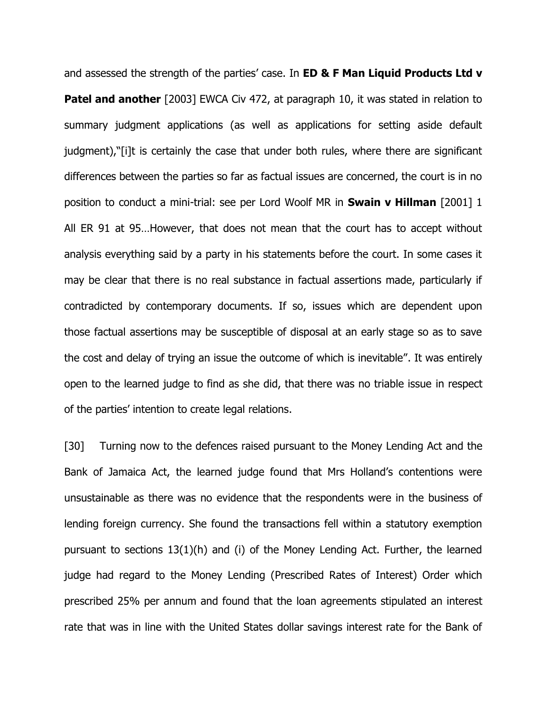and assessed the strength of the parties' case. In **ED & F Man Liquid Products Ltd v Patel and another** [2003] EWCA Civ 472, at paragraph 10, it was stated in relation to summary judgment applications (as well as applications for setting aside default judgment),"[i]t is certainly the case that under both rules, where there are significant differences between the parties so far as factual issues are concerned, the court is in no position to conduct a mini-trial: see per Lord Woolf MR in **Swain v Hillman** [2001] 1 All ER 91 at 95…However, that does not mean that the court has to accept without analysis everything said by a party in his statements before the court. In some cases it may be clear that there is no real substance in factual assertions made, particularly if contradicted by contemporary documents. If so, issues which are dependent upon those factual assertions may be susceptible of disposal at an early stage so as to save the cost and delay of trying an issue the outcome of which is inevitable". It was entirely open to the learned judge to find as she did, that there was no triable issue in respect of the parties' intention to create legal relations.

[30] Turning now to the defences raised pursuant to the Money Lending Act and the Bank of Jamaica Act, the learned judge found that Mrs Holland's contentions were unsustainable as there was no evidence that the respondents were in the business of lending foreign currency. She found the transactions fell within a statutory exemption pursuant to sections 13(1)(h) and (i) of the Money Lending Act. Further, the learned judge had regard to the Money Lending (Prescribed Rates of Interest) Order which prescribed 25% per annum and found that the loan agreements stipulated an interest rate that was in line with the United States dollar savings interest rate for the Bank of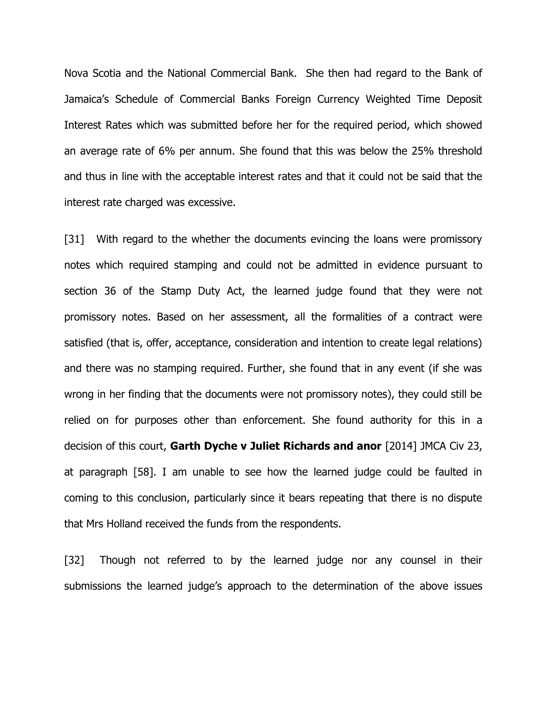Nova Scotia and the National Commercial Bank. She then had regard to the Bank of Jamaica's Schedule of Commercial Banks Foreign Currency Weighted Time Deposit Interest Rates which was submitted before her for the required period, which showed an average rate of 6% per annum. She found that this was below the 25% threshold and thus in line with the acceptable interest rates and that it could not be said that the interest rate charged was excessive.

[31] With regard to the whether the documents evincing the loans were promissory notes which required stamping and could not be admitted in evidence pursuant to section 36 of the Stamp Duty Act, the learned judge found that they were not promissory notes. Based on her assessment, all the formalities of a contract were satisfied (that is, offer, acceptance, consideration and intention to create legal relations) and there was no stamping required. Further, she found that in any event (if she was wrong in her finding that the documents were not promissory notes), they could still be relied on for purposes other than enforcement. She found authority for this in a decision of this court, **Garth Dyche v Juliet Richards and anor** [2014] JMCA Civ 23, at paragraph [58]. I am unable to see how the learned judge could be faulted in coming to this conclusion, particularly since it bears repeating that there is no dispute that Mrs Holland received the funds from the respondents.

[32] Though not referred to by the learned judge nor any counsel in their submissions the learned judge's approach to the determination of the above issues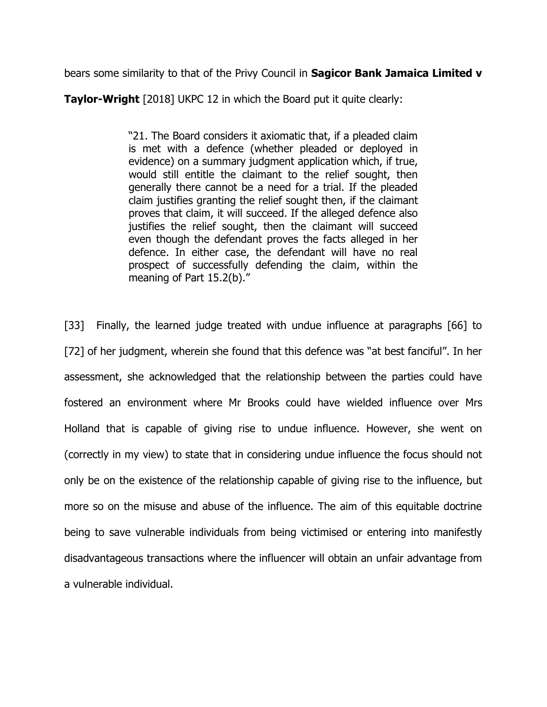bears some similarity to that of the Privy Council in **Sagicor Bank Jamaica Limited v** 

**Taylor-Wright** [2018] UKPC 12 in which the Board put it quite clearly:

"21. The Board considers it axiomatic that, if a pleaded claim is met with a defence (whether pleaded or deployed in evidence) on a summary judgment application which, if true, would still entitle the claimant to the relief sought, then generally there cannot be a need for a trial. If the pleaded claim justifies granting the relief sought then, if the claimant proves that claim, it will succeed. If the alleged defence also justifies the relief sought, then the claimant will succeed even though the defendant proves the facts alleged in her defence. In either case, the defendant will have no real prospect of successfully defending the claim, within the meaning of Part 15.2(b)."

[33] Finally, the learned judge treated with undue influence at paragraphs [66] to [72] of her judgment, wherein she found that this defence was "at best fanciful". In her assessment, she acknowledged that the relationship between the parties could have fostered an environment where Mr Brooks could have wielded influence over Mrs Holland that is capable of giving rise to undue influence. However, she went on (correctly in my view) to state that in considering undue influence the focus should not only be on the existence of the relationship capable of giving rise to the influence, but more so on the misuse and abuse of the influence. The aim of this equitable doctrine being to save vulnerable individuals from being victimised or entering into manifestly disadvantageous transactions where the influencer will obtain an unfair advantage from a vulnerable individual.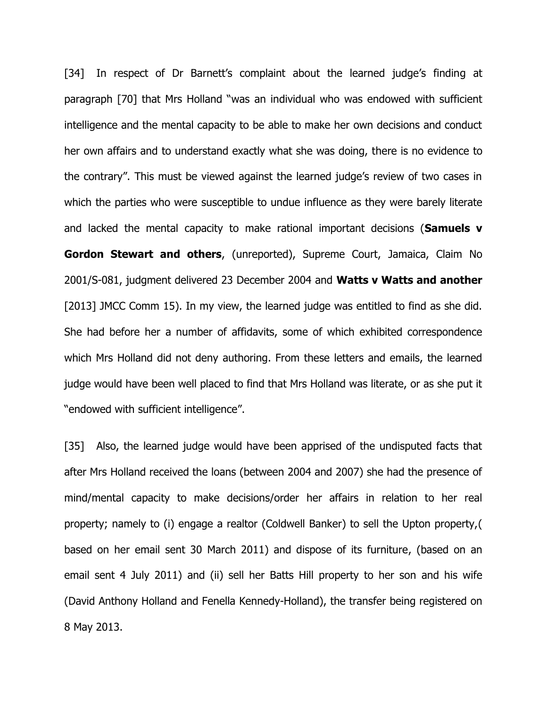[34] In respect of Dr Barnett's complaint about the learned judge's finding at paragraph [70] that Mrs Holland "was an individual who was endowed with sufficient intelligence and the mental capacity to be able to make her own decisions and conduct her own affairs and to understand exactly what she was doing, there is no evidence to the contrary". This must be viewed against the learned judge's review of two cases in which the parties who were susceptible to undue influence as they were barely literate and lacked the mental capacity to make rational important decisions (**Samuels v Gordon Stewart and others**, (unreported), Supreme Court, Jamaica, Claim No 2001/S-081, judgment delivered 23 December 2004 and **Watts v Watts and another** [2013] JMCC Comm 15). In my view, the learned judge was entitled to find as she did. She had before her a number of affidavits, some of which exhibited correspondence which Mrs Holland did not deny authoring. From these letters and emails, the learned judge would have been well placed to find that Mrs Holland was literate, or as she put it "endowed with sufficient intelligence".

[35] Also, the learned judge would have been apprised of the undisputed facts that after Mrs Holland received the loans (between 2004 and 2007) she had the presence of mind/mental capacity to make decisions/order her affairs in relation to her real property; namely to (i) engage a realtor (Coldwell Banker) to sell the Upton property,( based on her email sent 30 March 2011) and dispose of its furniture, (based on an email sent 4 July 2011) and (ii) sell her Batts Hill property to her son and his wife (David Anthony Holland and Fenella Kennedy-Holland), the transfer being registered on 8 May 2013.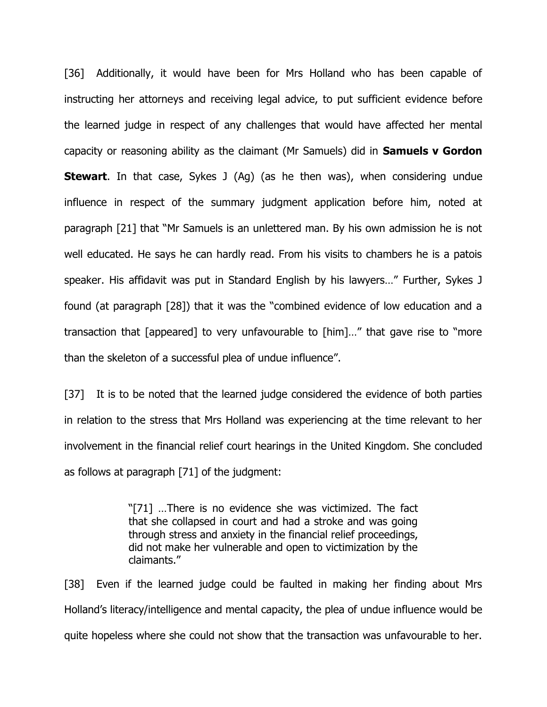[36] Additionally, it would have been for Mrs Holland who has been capable of instructing her attorneys and receiving legal advice, to put sufficient evidence before the learned judge in respect of any challenges that would have affected her mental capacity or reasoning ability as the claimant (Mr Samuels) did in **Samuels v Gordon Stewart**. In that case, Sykes J (Ag) (as he then was), when considering undue influence in respect of the summary judgment application before him, noted at paragraph [21] that "Mr Samuels is an unlettered man. By his own admission he is not well educated. He says he can hardly read. From his visits to chambers he is a patois speaker. His affidavit was put in Standard English by his lawyers…" Further, Sykes J found (at paragraph [28]) that it was the "combined evidence of low education and a transaction that [appeared] to very unfavourable to [him]…" that gave rise to "more than the skeleton of a successful plea of undue influence".

[37] It is to be noted that the learned judge considered the evidence of both parties in relation to the stress that Mrs Holland was experiencing at the time relevant to her involvement in the financial relief court hearings in the United Kingdom. She concluded as follows at paragraph [71] of the judgment:

> "[71] …There is no evidence she was victimized. The fact that she collapsed in court and had a stroke and was going through stress and anxiety in the financial relief proceedings, did not make her vulnerable and open to victimization by the claimants."

[38] Even if the learned judge could be faulted in making her finding about Mrs Holland's literacy/intelligence and mental capacity, the plea of undue influence would be quite hopeless where she could not show that the transaction was unfavourable to her.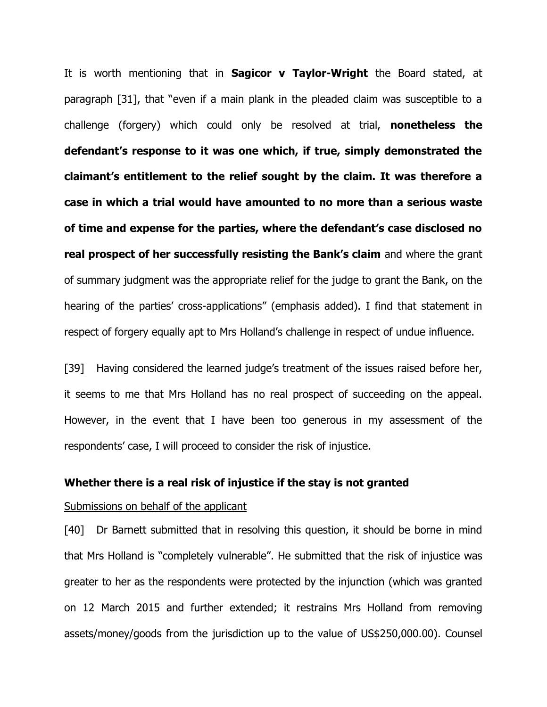It is worth mentioning that in **Sagicor v Taylor-Wright** the Board stated, at paragraph [31], that "even if a main plank in the pleaded claim was susceptible to a challenge (forgery) which could only be resolved at trial, **nonetheless the defendant's response to it was one which, if true, simply demonstrated the claimant's entitlement to the relief sought by the claim. It was therefore a case in which a trial would have amounted to no more than a serious waste of time and expense for the parties, where the defendant's case disclosed no real prospect of her successfully resisting the Bank's claim** and where the grant of summary judgment was the appropriate relief for the judge to grant the Bank, on the hearing of the parties' cross-applications" (emphasis added). I find that statement in respect of forgery equally apt to Mrs Holland's challenge in respect of undue influence.

[39] Having considered the learned judge's treatment of the issues raised before her, it seems to me that Mrs Holland has no real prospect of succeeding on the appeal. However, in the event that I have been too generous in my assessment of the respondents' case, I will proceed to consider the risk of injustice.

#### **Whether there is a real risk of injustice if the stay is not granted**

#### Submissions on behalf of the applicant

[40] Dr Barnett submitted that in resolving this question, it should be borne in mind that Mrs Holland is "completely vulnerable". He submitted that the risk of injustice was greater to her as the respondents were protected by the injunction (which was granted on 12 March 2015 and further extended; it restrains Mrs Holland from removing assets/money/goods from the jurisdiction up to the value of US\$250,000.00). Counsel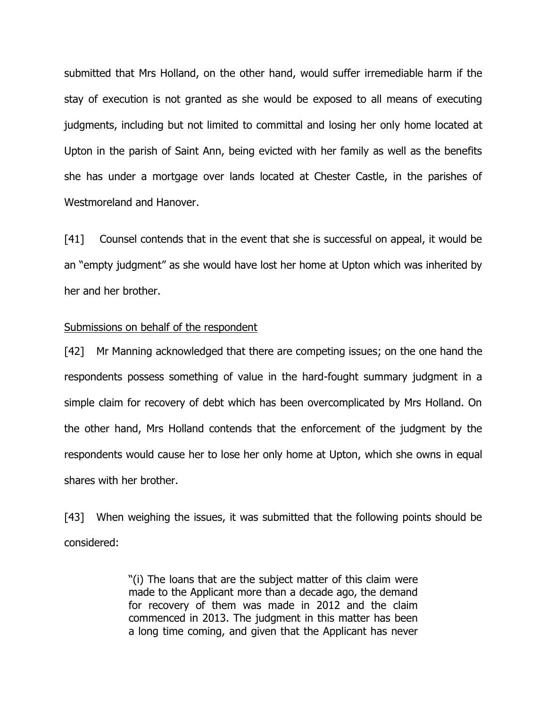submitted that Mrs Holland, on the other hand, would suffer irremediable harm if the stay of execution is not granted as she would be exposed to all means of executing judgments, including but not limited to committal and losing her only home located at Upton in the parish of Saint Ann, being evicted with her family as well as the benefits she has under a mortgage over lands located at Chester Castle, in the parishes of Westmoreland and Hanover.

[41] Counsel contends that in the event that she is successful on appeal, it would be an "empty judgment" as she would have lost her home at Upton which was inherited by her and her brother.

#### Submissions on behalf of the respondent

[42] Mr Manning acknowledged that there are competing issues; on the one hand the respondents possess something of value in the hard-fought summary judgment in a simple claim for recovery of debt which has been overcomplicated by Mrs Holland. On the other hand, Mrs Holland contends that the enforcement of the judgment by the respondents would cause her to lose her only home at Upton, which she owns in equal shares with her brother.

[43] When weighing the issues, it was submitted that the following points should be considered:

> "(i) The loans that are the subject matter of this claim were made to the Applicant more than a decade ago, the demand for recovery of them was made in 2012 and the claim commenced in 2013. The judgment in this matter has been a long time coming, and given that the Applicant has never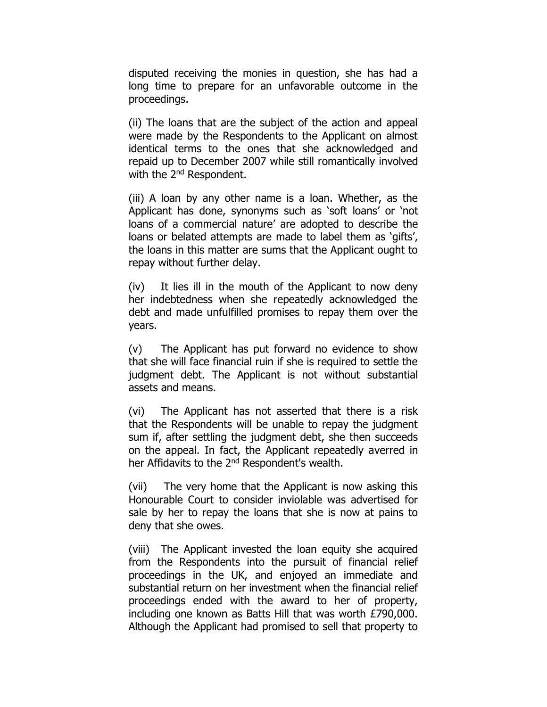disputed receiving the monies in question, she has had a long time to prepare for an unfavorable outcome in the proceedings.

(ii) The loans that are the subject of the action and appeal were made by the Respondents to the Applicant on almost identical terms to the ones that she acknowledged and repaid up to December 2007 while still romantically involved with the 2<sup>nd</sup> Respondent.

(iii) A loan by any other name is a loan. Whether, as the Applicant has done, synonyms such as 'soft loans' or 'not loans of a commercial nature' are adopted to describe the loans or belated attempts are made to label them as 'gifts', the loans in this matter are sums that the Applicant ought to repay without further delay.

(iv) It lies ill in the mouth of the Applicant to now deny her indebtedness when she repeatedly acknowledged the debt and made unfulfilled promises to repay them over the years.

(v) The Applicant has put forward no evidence to show that she will face financial ruin if she is required to settle the judgment debt. The Applicant is not without substantial assets and means.

(vi) The Applicant has not asserted that there is a risk that the Respondents will be unable to repay the judgment sum if, after settling the judgment debt, she then succeeds on the appeal. In fact, the Applicant repeatedly averred in her Affidavits to the 2<sup>nd</sup> Respondent's wealth.

(vii) The very home that the Applicant is now asking this Honourable Court to consider inviolable was advertised for sale by her to repay the loans that she is now at pains to deny that she owes.

(viii) The Applicant invested the loan equity she acquired from the Respondents into the pursuit of financial relief proceedings in the UK, and enjoyed an immediate and substantial return on her investment when the financial relief proceedings ended with the award to her of property, including one known as Batts Hill that was worth £790,000. Although the Applicant had promised to sell that property to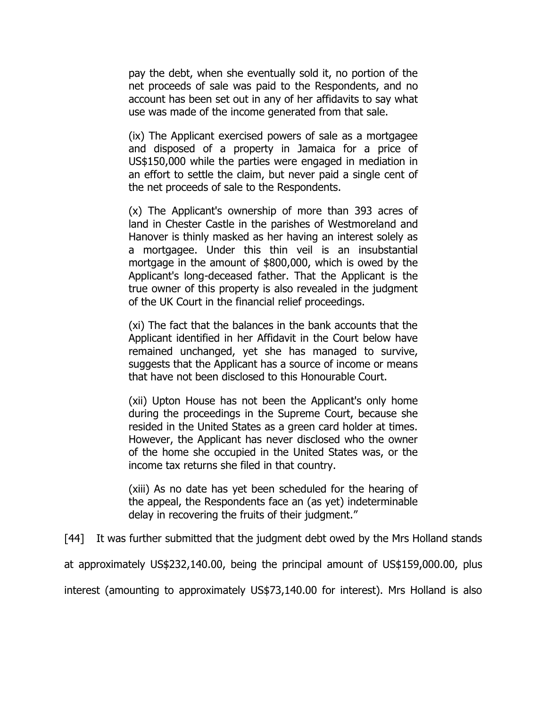pay the debt, when she eventually sold it, no portion of the net proceeds of sale was paid to the Respondents, and no account has been set out in any of her affidavits to say what use was made of the income generated from that sale.

(ix) The Applicant exercised powers of sale as a mortgagee and disposed of a property in Jamaica for a price of US\$150,000 while the parties were engaged in mediation in an effort to settle the claim, but never paid a single cent of the net proceeds of sale to the Respondents.

(x) The Applicant's ownership of more than 393 acres of land in Chester Castle in the parishes of Westmoreland and Hanover is thinly masked as her having an interest solely as a mortgagee. Under this thin veil is an insubstantial mortgage in the amount of \$800,000, which is owed by the Applicant's long-deceased father. That the Applicant is the true owner of this property is also revealed in the judgment of the UK Court in the financial relief proceedings.

(xi) The fact that the balances in the bank accounts that the Applicant identified in her Affidavit in the Court below have remained unchanged, yet she has managed to survive, suggests that the Applicant has a source of income or means that have not been disclosed to this Honourable Court.

(xii) Upton House has not been the Applicant's only home during the proceedings in the Supreme Court, because she resided in the United States as a green card holder at times. However, the Applicant has never disclosed who the owner of the home she occupied in the United States was, or the income tax returns she filed in that country.

(xiii) As no date has yet been scheduled for the hearing of the appeal, the Respondents face an (as yet) indeterminable delay in recovering the fruits of their judgment."

[44] It was further submitted that the judgment debt owed by the Mrs Holland stands

at approximately US\$232,140.00, being the principal amount of US\$159,000.00, plus

interest (amounting to approximately US\$73,140.00 for interest). Mrs Holland is also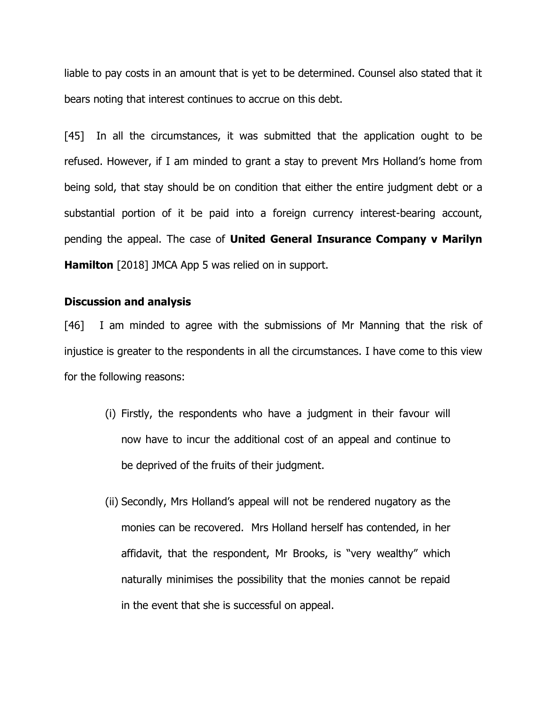liable to pay costs in an amount that is yet to be determined. Counsel also stated that it bears noting that interest continues to accrue on this debt.

[45] In all the circumstances, it was submitted that the application ought to be refused. However, if I am minded to grant a stay to prevent Mrs Holland's home from being sold, that stay should be on condition that either the entire judgment debt or a substantial portion of it be paid into a foreign currency interest-bearing account, pending the appeal. The case of **United General Insurance Company v Marilyn Hamilton** [2018] JMCA App 5 was relied on in support.

#### **Discussion and analysis**

[46] I am minded to agree with the submissions of Mr Manning that the risk of injustice is greater to the respondents in all the circumstances. I have come to this view for the following reasons:

- (i) Firstly, the respondents who have a judgment in their favour will now have to incur the additional cost of an appeal and continue to be deprived of the fruits of their judgment.
- (ii) Secondly, Mrs Holland's appeal will not be rendered nugatory as the monies can be recovered. Mrs Holland herself has contended, in her affidavit, that the respondent, Mr Brooks, is "very wealthy" which naturally minimises the possibility that the monies cannot be repaid in the event that she is successful on appeal.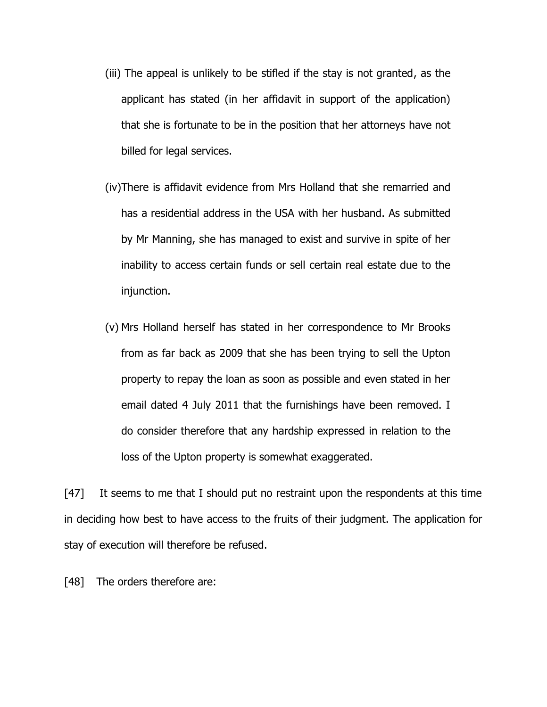- (iii) The appeal is unlikely to be stifled if the stay is not granted, as the applicant has stated (in her affidavit in support of the application) that she is fortunate to be in the position that her attorneys have not billed for legal services.
- (iv)There is affidavit evidence from Mrs Holland that she remarried and has a residential address in the USA with her husband. As submitted by Mr Manning, she has managed to exist and survive in spite of her inability to access certain funds or sell certain real estate due to the injunction.
- (v) Mrs Holland herself has stated in her correspondence to Mr Brooks from as far back as 2009 that she has been trying to sell the Upton property to repay the loan as soon as possible and even stated in her email dated 4 July 2011 that the furnishings have been removed. I do consider therefore that any hardship expressed in relation to the loss of the Upton property is somewhat exaggerated.

[47] It seems to me that I should put no restraint upon the respondents at this time in deciding how best to have access to the fruits of their judgment. The application for stay of execution will therefore be refused.

[48] The orders therefore are: